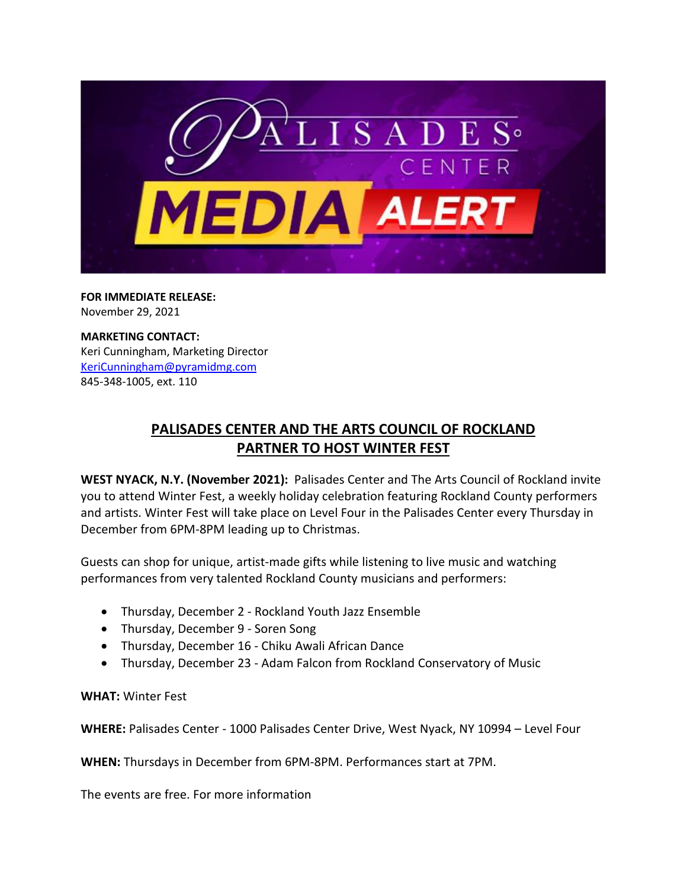

**FOR IMMEDIATE RELEASE:** November 29, 2021

**MARKETING CONTACT:** Keri Cunningham, Marketing Director [KeriCunningham@pyramidmg.com](mailto:KeriCunningham@pyramidmg.com) 845-348-1005, ext. 110

## **PALISADES CENTER AND THE ARTS COUNCIL OF ROCKLAND PARTNER TO HOST WINTER FEST**

**WEST NYACK, N.Y. (November 2021):** Palisades Center and The Arts Council of Rockland invite you to attend Winter Fest, a weekly holiday celebration featuring Rockland County performers and artists. Winter Fest will take place on Level Four in the Palisades Center every Thursday in December from 6PM-8PM leading up to Christmas.

Guests can shop for unique, artist-made gifts while listening to live music and watching performances from very talented Rockland County musicians and performers:

- Thursday, December 2 Rockland Youth Jazz Ensemble
- Thursday, December 9 Soren Song
- Thursday, December 16 Chiku Awali African Dance
- Thursday, December 23 Adam Falcon from Rockland Conservatory of Music

**WHAT:** Winter Fest

**WHERE:** Palisades Center - 1000 Palisades Center Drive, West Nyack, NY 10994 – Level Four

**WHEN:** Thursdays in December from 6PM-8PM. Performances start at 7PM.

The events are free. For more information